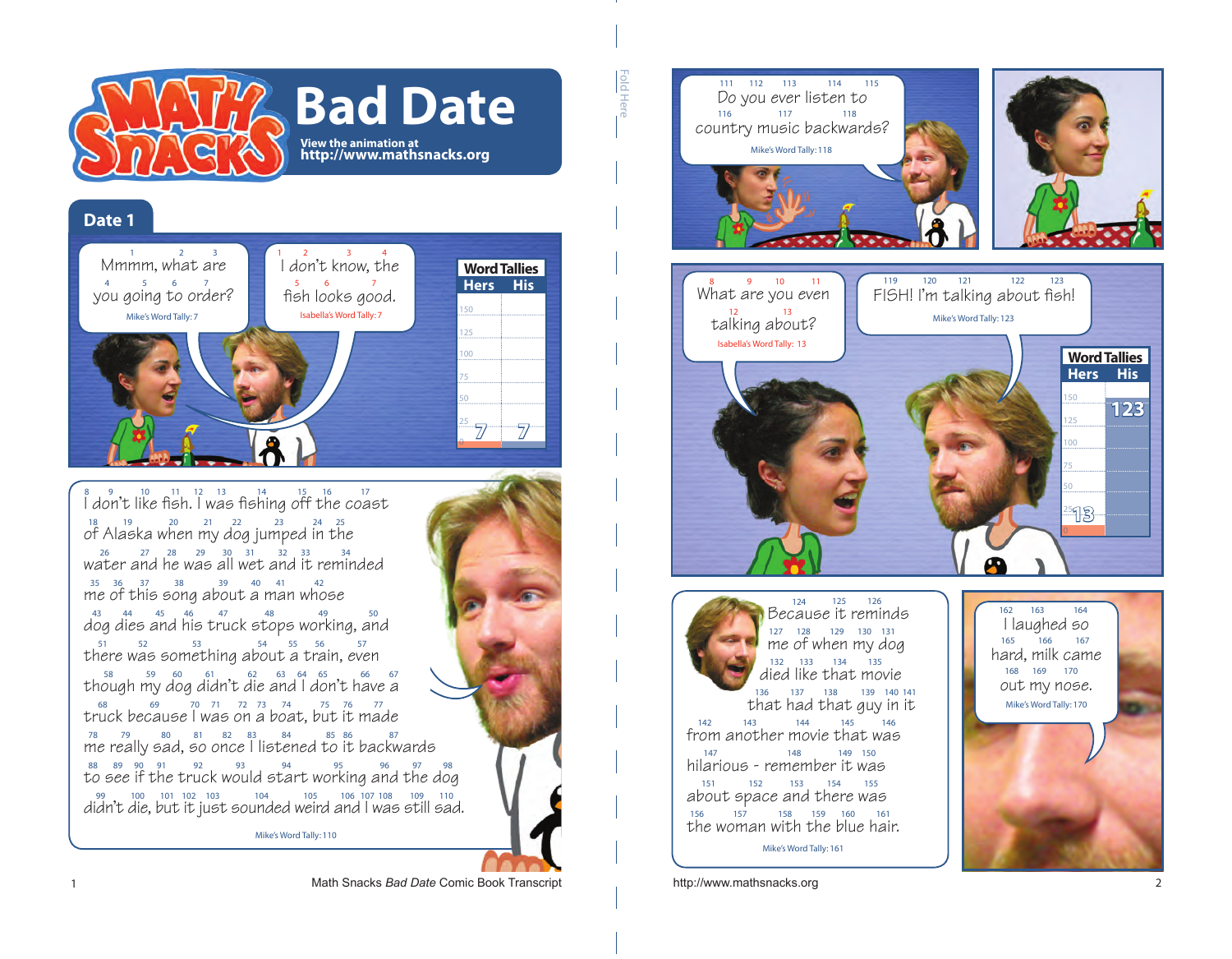

## **Date 1**



 $\int_{0}^{8}$  don't like fish. I was fishing off the coast  $\sigma^2$  Alaska when my dog jumped in the water and he was all wet and it reminded  $\frac{35}{36}$   $\frac{37}{36}$   $\frac{38}{39}$  about a man whose

 $\frac{43}{\text{dog}}$  dies and his truck stops working, and there was something about a train, even though my dog didn't die and I don't have a truck because I was on a boat, but it made  $\frac{78}{18}$   $\frac{79}{19}$  as  $\frac{80}{19}$   $\frac{81}{60}$   $\frac{82}{183}$   $\frac{83}{183}$   $\frac{84}{184}$  as  $\frac{85}{186}$   $\frac{86}{187}$   $\frac{87}{187}$  and  $\frac{87}{187}$  and  $\frac{87}{187}$  and  $\frac{87}{187}$  and  $\frac{87}{187}$  and  $\frac{87}{187}$  and  $\frac{88}{30}$   $\frac{89}{30}$   $\frac{91}{31}$   $\frac{92}{33}$   $\frac{93}{36}$   $\frac{94}{36}$  to  $\frac{95}{36}$   $\frac{96}{36}$   $\frac{97}{36}$   $\frac{98}{36}$ didn't die, but it just sounded weird and I was still sad.

Mike's Word Tally: 110





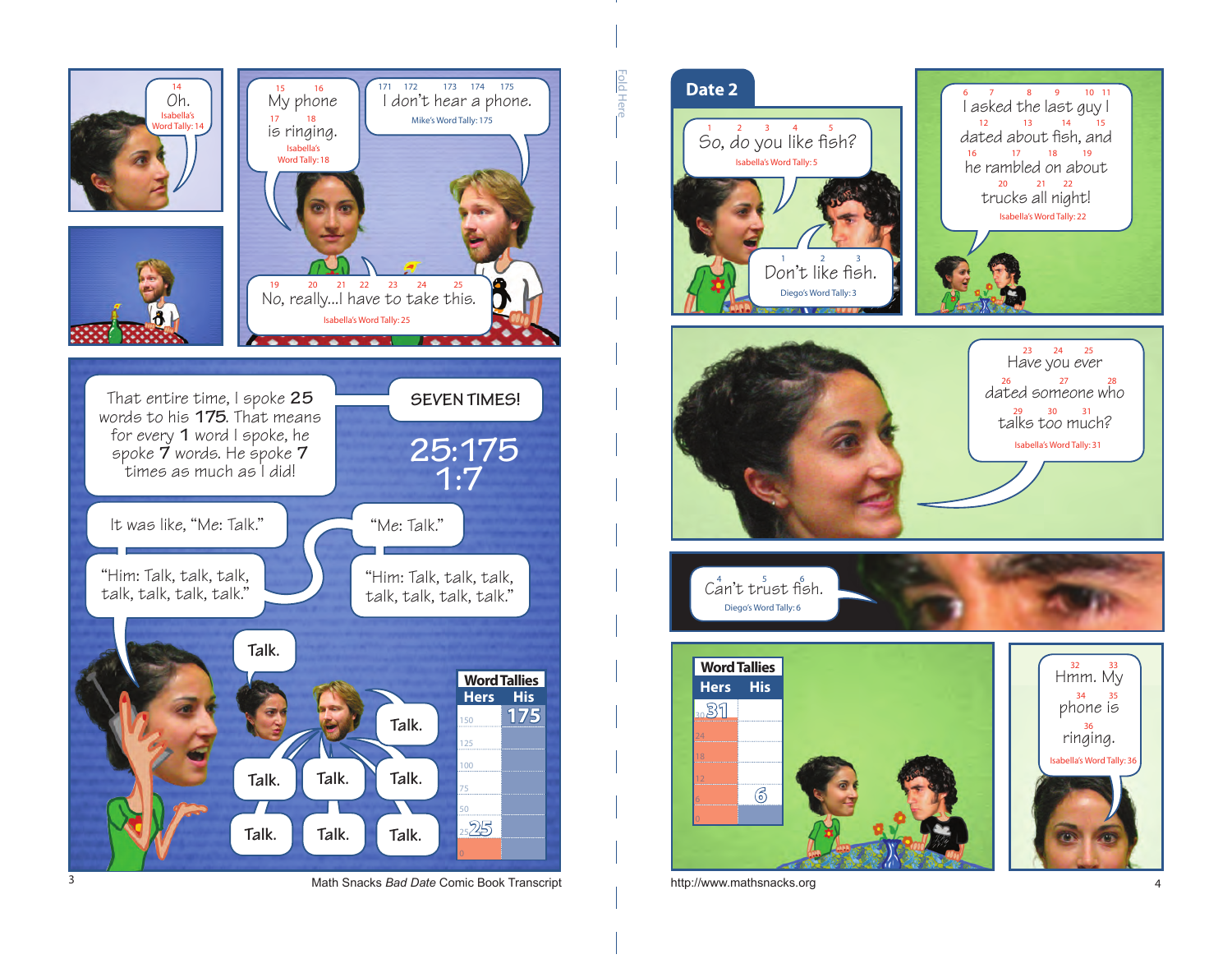

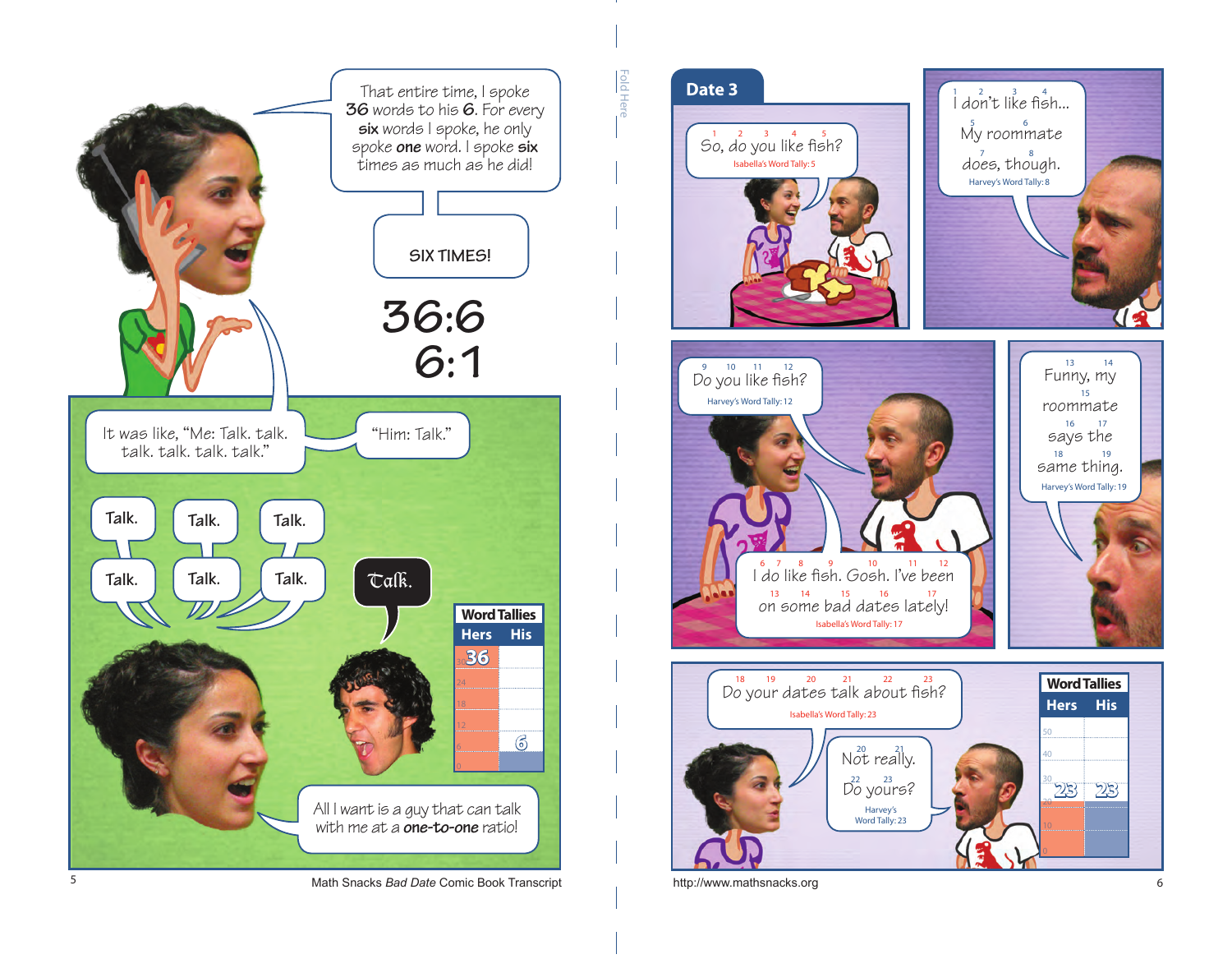